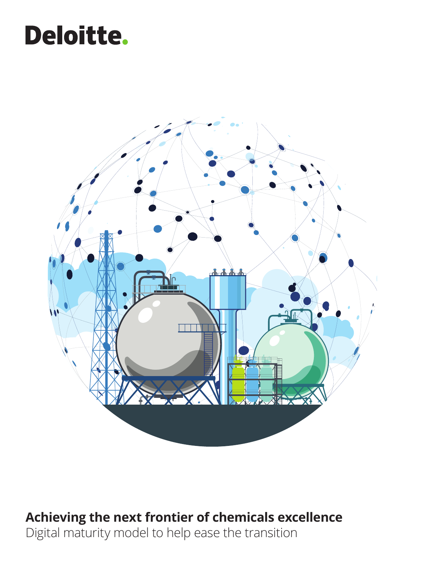# Deloitte.



# **Achieving the next frontier of chemicals excellence**

Digital maturity model to help ease the transition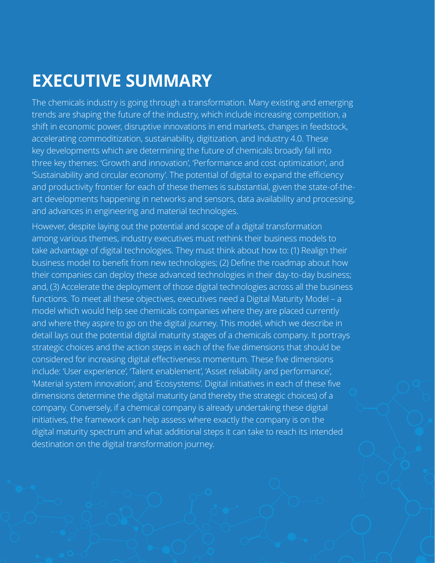The chemicals industry is going through a transformation. Many existing and emerging trends are shaping the future of the industry, which include increasing competition, a shift in economic power, disruptive innovations in end markets, changes in feedstock, accelerating commoditization, sustainability, digitization, and Industry 4.0. These key developments which are determining the future of chemicals broadly fall into three key themes: 'Growth and innovation', 'Performance and cost optimization', and 'Sustainability and circular economy'. The potential of digital to expand the efficiency and productivity frontier for each of these themes is substantial, given the state-of-theart developments happening in networks and sensors, data availability and processing, and advances in engineering and material technologies.

However, despite laying out the potential and scope of a digital transformation among various themes, industry executives must rethink their business models to take advantage of digital technologies. They must think about how to: (1) Realign their business model to benefit from new technologies; (2) Define the roadmap about how their companies can deploy these advanced technologies in their day-to-day business; and, (3) Accelerate the deployment of those digital technologies across all the business functions. To meet all these objectives, executives need a Digital Maturity Model – a model which would help see chemicals companies where they are placed currently and where they aspire to go on the digital journey. This model, which we describe in detail lays out the potential digital maturity stages of a chemicals company. It portrays strategic choices and the action steps in each of the five dimensions that should be considered for increasing digital effectiveness momentum. These five dimensions include: 'User experience', 'Talent enablement', 'Asset reliability and performance', 'Material system innovation', and 'Ecosystems'. Digital initiatives in each of these five dimensions determine the digital maturity (and thereby the strategic choices) of a company. Conversely, if a chemical company is already undertaking these digital initiatives, the framework can help assess where exactly the company is on the digital maturity spectrum and what additional steps it can take to reach its intended destination on the digital transformation journey.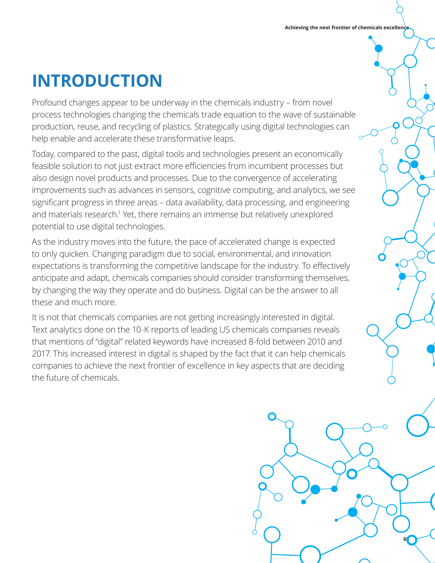# **INTRODUCTION**

Profound changes appear to be underway in the chemicals industry – from novel process technologies changing the chemicals trade equation to the wave of sustainable production, reuse, and recycling of plastics. Strategically using digital technologies can help enable and accelerate these transformative leaps.

Today, compared to the past, digital tools and technologies present an economically feasible solution to not just extract more efficiencies from incumbent processes but also design novel products and processes. Due to the convergence of accelerating improvements such as advances in sensors, cognitive computing, and analytics, we see significant progress in three areas – data availability, data processing, and engineering and materials research.<sup>1</sup> Yet, there remains an immense but relatively unexplored potential to use digital technologies.

As the industry moves into the future, the pace of accelerated change is expected to only quicken. Changing paradigm due to social, environmental, and innovation expectations is transforming the competitive landscape for the industry. To effectively anticipate and adapt, chemicals companies should consider transforming themselves, by changing the way they operate and do business. Digital can be the answer to all these and much more.

It is not that chemicals companies are not getting increasingly interested in digital. Text analytics done on the 10-K reports of leading US chemicals companies reveals that mentions of "digital" related keywords have increased 8-fold between 2010 and 2017. This increased interest in digital is shaped by the fact that it can help chemicals companies to achieve the next frontier of excellence in key aspects that are deciding the future of chemicals.

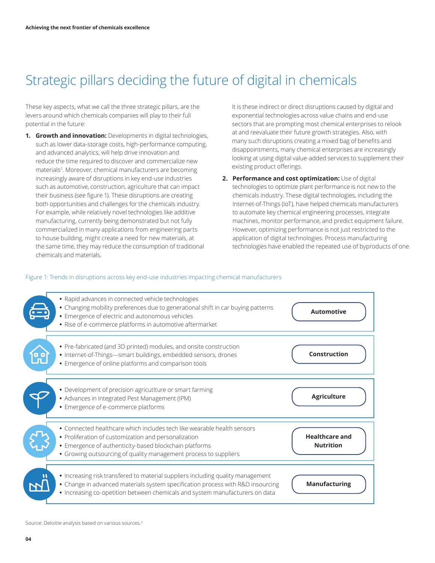# Strategic pillars deciding the future of digital in chemicals

These key aspects, what we call the three strategic pillars, are the levers around which chemicals companies will play to their full potential in the future:

**1. Growth and innovation:** Developments in digital technologies, such as lower data-storage costs, high-performance computing, and advanced analytics, will help drive innovation and reduce the time required to discover and commercialize new materials<sup>2</sup>. Moreover, chemical manufacturers are becoming increasingly aware of disruptions in key end-use industries such as automotive, construction, agriculture that can impact their business (see figure 1). These disruptions are creating both opportunities and challenges for the chemicals industry. For example, while relatively novel technologies like additive manufacturing, currently being demonstrated but not fully commercialized in many applications from engineering parts to house building, might create a need for new materials, at the same time, they may reduce the consumption of traditional chemicals and materials.

It is these indirect or direct disruptions caused by digital and exponential technologies across value chains and end-use sectors that are prompting most chemical enterprises to relook at and reevaluate their future growth strategies. Also, with many such disruptions creating a mixed bag of benefits and disappointments, many chemical enterprises are increasingly looking at using digital value-added services to supplement their existing product offerings.

**2. Performance and cost optimization:** Use of digital technologies to optimize plant performance is not new to the chemicals industry. These digital technologies, including the Internet-of-Things (IoT), have helped chemicals manufacturers to automate key chemical engineering processes, integrate machines, monitor performance, and predict equipment failure. However, optimizing performance is not just restricted to the application of digital technologies. Process manufacturing technologies have enabled the repeated use of byproducts of one

#### Figure 1: Trends in disruptions across key end-use industries impacting chemical manufacturers



Source: Deloitte analysis based on various sources.<sup>3</sup>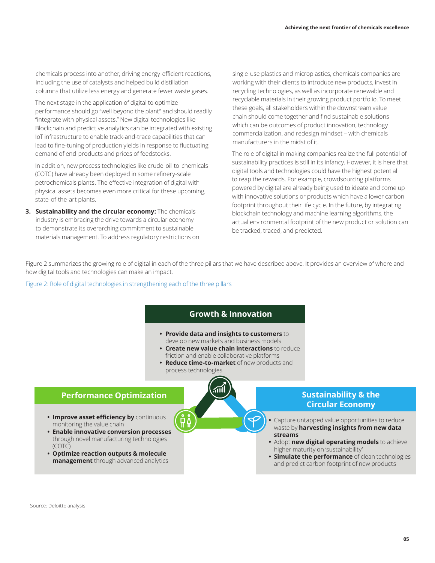chemicals process into another, driving energy-efficient reactions, including the use of catalysts and helped build distillation columns that utilize less energy and generate fewer waste gases.

The next stage in the application of digital to optimize performance should go "well beyond the plant" and should readily "integrate with physical assets." New digital technologies like Blockchain and predictive analytics can be integrated with existing IoT infrastructure to enable track-and-trace capabilities that can lead to fine-tuning of production yields in response to fluctuating demand of end-products and prices of feedstocks.

In addition, new process technologies like crude-oil-to-chemicals (COTC) have already been deployed in some refinery-scale petrochemicals plants. The effective integration of digital with physical assets becomes even more critical for these upcoming, state-of-the-art plants.

**3. Sustainability and the circular economy:** The chemicals industry is embracing the drive towards a circular economy to demonstrate its overarching commitment to sustainable materials management. To address regulatory restrictions on single-use plastics and microplastics, chemicals companies are working with their clients to introduce new products, invest in recycling technologies, as well as incorporate renewable and recyclable materials in their growing product portfolio. To meet these goals, all stakeholders within the downstream value chain should come together and find sustainable solutions which can be outcomes of product innovation, technology commercialization, and redesign mindset – with chemicals manufacturers in the midst of it.

The role of digital in making companies realize the full potential of sustainability practices is still in its infancy. However, it is here that digital tools and technologies could have the highest potential to reap the rewards. For example, crowdsourcing platforms powered by digital are already being used to ideate and come up with innovative solutions or products which have a lower carbon footprint throughout their life cycle. In the future, by integrating blockchain technology and machine learning algorithms, the actual environmental footprint of the new product or solution can be tracked, traced, and predicted.

Figure 2 summarizes the growing role of digital in each of the three pillars that we have described above. It provides an overview of where and how digital tools and technologies can make an impact.

Figure 2: Role of digital technologies in strengthening each of the three pillars

### **Growth & Innovation**

- **• Provide data and insights to customers** to develop new markets and business models
- **• Create new value chain interactions** to reduce friction and enable collaborative platforms
- **• Reduce time-to-market** of new products and process technologies



# **Circular Economy**

- **•** Capture untapped value opportunities to reduce waste by **harvesting insights from new data streams**
- **•** Adopt **new digital operating models** to achieve higher maturity on 'sustainability'
- **• Simulate the performance** of clean technologies and predict carbon footprint of new products

### **Performance Optimization Sustainability & the**

- **• Improve asset efficiency by** continuous monitoring the value chain
- **• Enable innovative conversion processes** through novel manufacturing technologies (COTC)
- **• Optimize reaction outputs & molecule management** through advanced analytics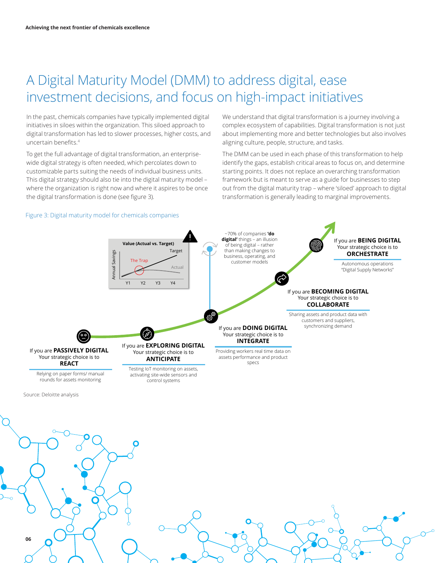# A Digital Maturity Model (DMM) to address digital, ease investment decisions, and focus on high-impact initiatives

In the past, chemicals companies have typically implemented digital initiatives in siloes within the organization. This siloed approach to digital transformation has led to slower processes, higher costs, and uncertain benefits.<sup>4</sup>

To get the full advantage of digital transformation, an enterprisewide digital strategy is often needed, which percolates down to customizable parts suiting the needs of individual business units. This digital strategy should also tie into the digital maturity model – where the organization is right now and where it aspires to be once the digital transformation is done (see figure 3).

We understand that digital transformation is a journey involving a complex ecosystem of capabilities. Digital transformation is not just about implementing more and better technologies but also involves aligning culture, people, structure, and tasks.

The DMM can be used in each phase of this transformation to help identify the gaps, establish critical areas to focus on, and determine starting points. It does not replace an overarching transformation framework but is meant to serve as a guide for businesses to step out from the digital maturity trap – where 'siloed' approach to digital transformation is generally leading to marginal improvements.

#### Figure 3: Digital maturity model for chemicals companies



Source: Deloitte analysis

**06**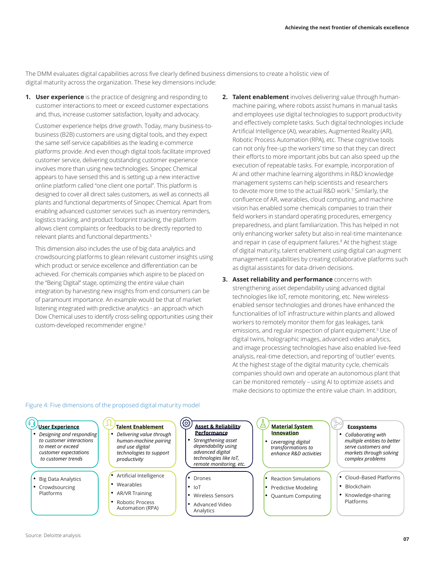The DMM evaluates digital capabilities across five clearly defined business dimensions to create a holistic view of digital maturity across the organization. These key dimensions include:

**1. User experience** is the practice of designing and responding to customer interactions to meet or exceed customer expectations and, thus, increase customer satisfaction, loyalty and advocacy.

Customer experience helps drive growth. Today, many business-tobusiness (B2B) customers are using digital tools, and they expect the same self-service capabilities as the leading e-commerce platforms provide. And even though digital tools facilitate improved customer service, delivering outstanding customer experience involves more than using new technologies. Sinopec Chemical appears to have sensed this and is setting up a new interactive online platform called "one client one portal". This platform is designed to cover all direct sales customers, as well as connects all plants and functional departments of Sinopec Chemical. Apart from enabling advanced customer services such as inventory reminders, logistics tracking, and product footprint tracking, the platform allows client complaints or feedbacks to be directly reported to relevant plants and functional departments.<sup>5</sup>

This dimension also includes the use of big data analytics and crowdsourcing platforms to glean relevant customer insights using which product or service excellence and differentiation can be achieved. For chemicals companies which aspire to be placed on the "Being Digital" stage, optimizing the entire value chain integration by harvesting new insights from end consumers can be of paramount importance. An example would be that of market listening integrated with predictive analytics - an approach which Dow Chemical uses to identify cross-selling opportunities using their custom-developed recommender engine.<sup>6</sup>

- **2. Talent enablement** involves delivering value through humanmachine pairing, where robots assist humans in manual tasks and employees use digital technologies to support productivity and effectively complete tasks. Such digital technologies include Artificial Intelligence (AI), wearables, Augmented Reality (AR), Robotic Process Automation (RPA), etc. These cognitive tools can not only free-up the workers' time so that they can direct their efforts to more important jobs but can also speed up the execution of repeatable tasks. For example, incorporation of AI and other machine learning algorithms in R&D knowledge management systems can help scientists and researchers to devote more time to the actual R&D work.7 Similarly, the confluence of AR, wearables, cloud computing, and machine vision has enabled some chemicals companies to train their field workers in standard operating procedures, emergency preparedness, and plant familiarization. This has helped in not only enhancing worker safety but also in real-time maintenance and repair in case of equipment failures.<sup>8</sup> At the highest stage of digital maturity, talent enablement using digital can augment management capabilities by creating collaborative platforms such as digital assistants for data-driven decisions.
- **3. Asset reliability and performance** concerns with strengthening asset dependability using advanced digital technologies like IoT, remote monitoring, etc. New wirelessenabled sensor technologies and drones have enhanced the functionalities of IoT infrastructure within plants and allowed workers to remotely monitor them for gas leakages, tank emissions, and regular inspection of plant equipment.<sup>9</sup> Use of digital twins, holographic images, advanced video analytics, and image processing technologies have also enabled live-feed analysis, real-time detection, and reporting of 'outlier' events. At the highest stage of the digital maturity cycle, chemicals companies should own and operate an autonomous plant that can be monitored remotely – using AI to optimize assets and make decisions to optimize the entire value chain. In addition,



#### Figure 4: Five dimensions of the proposed digital maturity model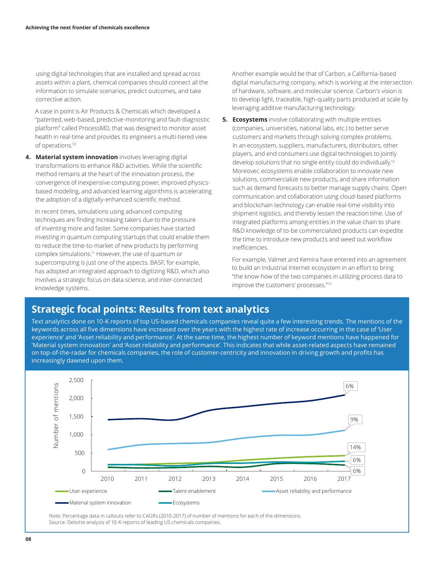using digital technologies that are installed and spread across assets within a plant, chemical companies should connect all the information to simulate scenarios, predict outcomes, and take corrective action.

A case in point is Air Products & Chemicals which developed a "patented, web-based, predictive-monitoring and fault-diagnostic platform" called ProcessMD, that was designed to monitor asset health in real-time and provides its engineers a multi-tiered view of operations.10

**4. Material system innovation** involves leveraging digital transformations to enhance R&D activities. While the scientific method remains at the heart of the innovation process, the convergence of inexpensive computing power, improved physicsbased modeling, and advanced learning algorithms is accelerating the adoption of a digitally-enhanced scientific method.

In recent times, simulations using advanced computing techniques are finding increasing takers due to the pressure of inventing more and faster. Some companies have started investing in quantum computing startups that could enable them to reduce the time-to-market of new products by performing complex simulations.11 However, the use of quantum or supercomputing is just one of the aspects. BASF, for example, has adopted an integrated approach to digitizing R&D, which also involves a strategic focus on data science, and inter-connected knowledge systems.

Another example would be that of Carbon, a California-based digital manufacturing company, which is working at the intersection of hardware, software, and molecular science. Carbon's vision is to develop light, traceable, high-quality parts produced at scale by leveraging additive manufacturing technology.

**5. Ecosystems** involve collaborating with multiple entities (companies, universities, national labs, etc.) to better serve customers and markets through solving complex problems. In an ecosystem, suppliers, manufacturers, distributors, other players, and end consumers use digital technologies to jointly develop solutions that no single entity could do individually.<sup>12</sup> Moreover, ecosystems enable collaboration to innovate new solutions, commercialize new products, and share information such as demand forecasts to better manage supply chains. Open communication and collaboration using cloud-based platforms and blockchain technology can enable real-time visibility into shipment logistics, and thereby lessen the reaction time. Use of integrated platforms among entities in the value chain to share R&D knowledge of to-be commercialized products can expedite the time to introduce new products and weed out workflow inefficiencies.

For example, Valmet and Kemira have entered into an agreement to build an Industrial Internet ecosystem in an effort to bring "the know-how of the two companies in utilizing process data to improve the customers' processes."13

### **Strategic focal points: Results from text analytics**

Text analytics done on 10-K reports of top US-based chemicals companies reveal quite a few interesting trends. The mentions of the keywords across all five dimensions have increased over the years with the highest rate of increase occurring in the case of 'User experience' and 'Asset reliability and performance'. At the same time, the highest number of keyword mentions have happened for 'Material system innovation' and 'Asset reliability and performance'. This indicates that while asset-related aspects have remained on top-of-the-radar for chemicals companies, the role of customer-centricity and innovation in driving growth and profits has increasingly dawned upon them.



Note: Percentage data in callouts refer to CAGRs (2010-2017) of number of mentions for each of the dimensions. Source: Deloitte analysis of 10-K reports of leading US chemicals companies.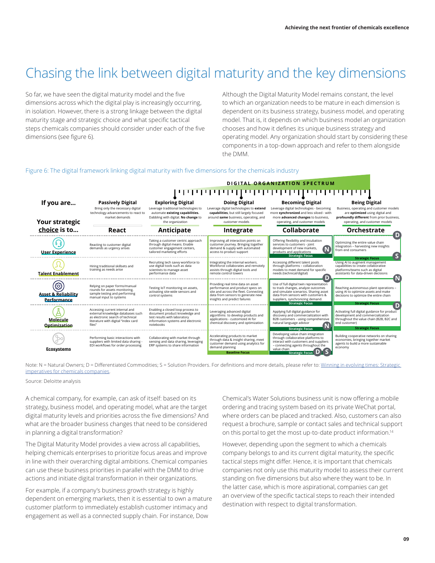# Chasing the link between digital maturity and the key dimensions

So far, we have seen the digital maturity model and the five dimensions across which the digital play is increasingly occurring, in isolation. However, there is a strong linkage between the digital maturity stage and strategic choice and what specific tactical steps chemicals companies should consider under each of the five dimensions (see figure 6).

Although the Digital Maturity Model remains constant, the level to which an organization needs to be mature in each dimension is dependent on its business strategy, business model, and operating model. That is, it depends on which business model an organization chooses and how it defines its unique business strategy and operating model. Any organization should start by considering these components in a top-down approach and refer to them alongside the DMM.

#### Figure 6: The digital framework linking digital maturity with five dimensions for the chemicals industry



Note: N = Natural Owners; D = Differentiated Commodities; S = Solution Providers. For definitions and more details, please refer to: Winning in evolving times: Strategic [imperatives for chemicals companies.](https://www2.deloitte.com/insights/us/en/industry/oil-and-gas/chemicals-companies-strategic-imperatives.html )

Source: Deloitte analysis

A chemical company, for example, can ask of itself: based on its strategy, business model, and operating model, what are the target digital maturity levels and priorities across the five dimensions? And what are the broader business changes that need to be considered in planning a digital transformation?

The Digital Maturity Model provides a view across all capabilities, helping chemicals enterprises to prioritize focus areas and improve in line with their overarching digital ambitions. Chemical companies can use these business priorities in parallel with the DMM to drive actions and initiate digital transformation in their organizations.

For example, if a company's business growth strategy is highly dependent on emerging markets, then it is essential to own a mature customer platform to immediately establish customer intimacy and engagement as well as a connected supply chain. For instance, Dow

Chemical's Water Solutions business unit is now offering a mobile ordering and tracing system based on its private WeChat portal, where orders can be placed and tracked. Also, customers can also request a brochure, sample or contact sales and technical support on this portal to get the most up-to-date product information.14

However, depending upon the segment to which a chemicals company belongs to and its current digital maturity, the specific tactical steps might differ. Hence, it is important that chemicals companies not only use this maturity model to assess their current standing on five dimensions but also where they want to be. In the latter case, which is more aspirational, companies can get an overview of the specific tactical steps to reach their intended destination with respect to digital transformation.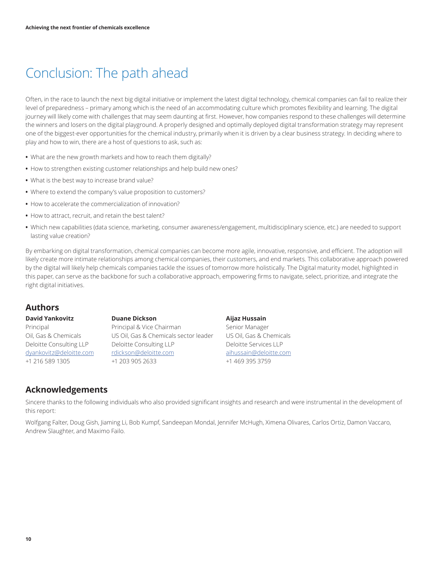# Conclusion: The path ahead

Often, in the race to launch the next big digital initiative or implement the latest digital technology, chemical companies can fail to realize their level of preparedness – primary among which is the need of an accommodating culture which promotes flexibility and learning. The digital journey will likely come with challenges that may seem daunting at first. However, how companies respond to these challenges will determine the winners and losers on the digital playground. A properly designed and optimally deployed digital transformation strategy may represent one of the biggest-ever opportunities for the chemical industry, primarily when it is driven by a clear business strategy. In deciding where to play and how to win, there are a host of questions to ask, such as:

- **•** What are the new growth markets and how to reach them digitally?
- **•** How to strengthen existing customer relationships and help build new ones?
- **•** What is the best way to increase brand value?
- **•** Where to extend the company's value proposition to customers?
- **•** How to accelerate the commercialization of innovation?
- **•** How to attract, recruit, and retain the best talent?
- **•** Which new capabilities (data science, marketing, consumer awareness/engagement, multidisciplinary science, etc.) are needed to support lasting value creation?

By embarking on digital transformation, chemical companies can become more agile, innovative, responsive, and efficient. The adoption will likely create more intimate relationships among chemical companies, their customers, and end markets. This collaborative approach powered by the digital will likely help chemicals companies tackle the issues of tomorrow more holistically. The Digital maturity model, highlighted in this paper, can serve as the backbone for such a collaborative approach, empowering firms to navigate, select, prioritize, and integrate the right digital initiatives.

### **Authors**

#### **David Yankovitz**

Principal Oil, Gas & Chemicals Deloitte Consulting LLP [dyankovitz@deloitte.com](mailto:dyankovitz%40deloitte.com%20?subject=) +1 216 589 1305

**Duane Dickson** Principal & Vice Chairman US Oil, Gas & Chemicals sector leader Deloitte Consulting LLP [rdickson@deloitte.com](mailto:rdickson%40deloitte.com%20?subject=) +1 203 905 2633

#### **Aijaz Hussain**

Senior Manager US Oil, Gas & Chemicals Deloitte Services LLP [aihussain@deloitte.com](mailto:aihussain%40deloitte.com%20?subject=) +1 469 395 3759

### **Acknowledgements**

Sincere thanks to the following individuals who also provided significant insights and research and were instrumental in the development of this report:

Wolfgang Falter, Doug Gish, Jiaming Li, Bob Kumpf, Sandeepan Mondal, Jennifer McHugh, Ximena Olivares, Carlos Ortiz, Damon Vaccaro, Andrew Slaughter, and Maximo Failo.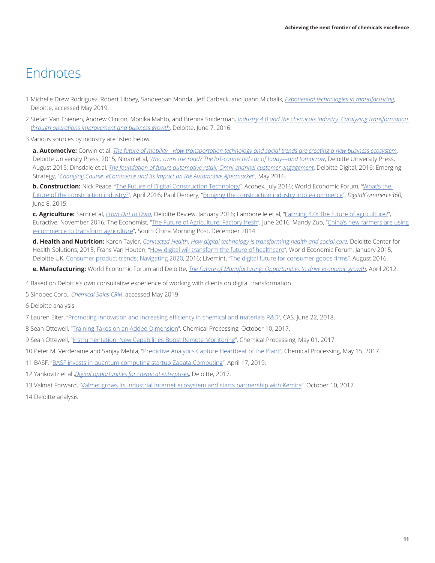## **Endnotes**

- 1 Michelle Drew Rodriguez, Robert Libbey, Sandeepan Mondal, Jeff Carbeck, and Joann Michalik, *[Exponential technologies in manufacturing](https://www2.deloitte.com/us/en/pages/manufacturing/articles/advanced-manufacturing-technologies-report.html)*, Deloitte, accessed May 2019.
- 2 Stefan Van Thienen, Andrew Clinton, Monika Mahto, and Brenna Sniderman, *[Industry 4.0 and the chemicals industry: Catalyzing transformation](https://www2.deloitte.com/tr/en/pages/consumer-industrial-products/articles/industry-4-0-and-chemicals-industry-value-chain.html)  [through operations improvement and business growth](https://www2.deloitte.com/tr/en/pages/consumer-industrial-products/articles/industry-4-0-and-chemicals-industry-value-chain.html)*, Deloitte, June 7, 2016.
- 3 Various sources by industry are listed below:

**a. Automotive:** Corwin et.al, *[The future of mobility - How transportation technology and social trends are creating a new business ecosystem](https://www2.deloitte.com/content/dam/Deloitte/br/Documents/manufacturing/Future_of_mobility.pdf)*, Deloitte University Press, 2015; Ninan et.al, *[Who owns the road? The IoT-connected car of today—and tomorrow](https://dupress.deloitte.com/dup-us-en/focus/internet-of-things/iot-in-automotive-industry.%20html)*, Deloitte University Press, August 2015; Dinsdale et.al, *[The foundation of future automotive retail: Omni-channel customer engagement](https://www2.deloitte.com/content/%20dam/Deloitte/no/Documents/consumer-industrial-products/the-foundation-of-future-automotive-retail.pdf)*, Deloitte Digital, 2016; Emerging Strategy, "*[Changing Course: eCommerce and its Impact on the Automotive Aftermarket](http://www.china-briefing.com/news/2016/05/18/changing-course-ecommerce-and-its-impact-on-the-automotive-aftermarket.html)*", May 2016.

**b. Construction:** Nick Peace, "[The Future of Digital Construction Technology](https://www.aconex.com/blogs/2016/07/the-future-of-digital-construction-technology.html)", Aconex, July 2016; World Economic Forum, "What's the [future of the construction industry?"](https://www.weforum.org/agenda/2016/04/%20building-in-the-fourth-industrial-revolution/), April 2016; Paul Demery, "[Bringing the construction industry into e-commerce"](https://www.digitalcommerce360.com/2015/06/08/bringing-construction-industry-e-commerce/), *DigitalCommerce360*, June 8, 2015.

**c. Agriculture:** Sarni et.al, *[From Dirt to Data](https://dupress.deloitte.com/dup-us-en/deloitte-review/issue-18/second-green-revolution-and-internet-of-things.html)*, Deloitte Review, January 2016; Lamborelle et.al, ["Farming 4.0: The future of agriculture?](http://www.euractiv.com/section/%20agriculture-food/infographic/farming-4-0-the-future-of-agriculture/)", Euractive, November 2016; The Economist, "[The Future of Agriculture: Factory fresh](https://www.economist.com/technology-quarterly/2016-06-09/factory-fresh)", June 2016; Mandy Zuo, "China's new farmers are using [e-commerce to transform agriculture](http://www.scmp.com/news/china/article/1662752/chinas-new-farmers-are-using-e-commerce-transform-agriculture)", South China Morning Post, December 2014.

**d. Health and Nutrition:** Karen Taylor, *[Connected Health: How digital technology is transforming health and social care](https://www2.deloitte.com/content/dam/Deloitte/uk/Documents/life-sciences-health-care/deloitte-uk-connected-health.pdf)*, Deloitte Center for Health Solutions, 2015; Frans Van Houten, "[How digital will transform the future of healthcare](https://www.weforum.org/agenda/2015/01/how-connected-healthcare-is-becoming-a-reality/)", World Economic Forum, January 2015; Deloitte UK, [Consumer product trends: Navigating 2020,](https://www2.deloitte.com/uk/en/pages/consumer-business/articles/consumer-product-trends-navigating-2020.html) 2016; Livemint, ["The digital future for consumer goods firms"](http://www.livemint.com/Opinion/D4iSWU187J3R7UaH9YifwI/%20The-digital-future-for-consumer-goods-firms.html), August 2016.

**e. Manufacturing:** World Economic Forum and Deloitte, *[The Future of Manufacturing: Opportunities to drive economic growth](https://www2.deloitte.com/mk/en/pages/manufacturing/articles/future-of-manufacturing.html)*, April 2012.

4 Based on Deloitte's own consultative experience of working with clients on digital transformation

5 Sinopec Corp., *[Chemical Sales CRM](http://www.sinopec.com/listco/en/products_service/chemical_products_sales_crm/)*, accessed May 2019.

6 Deloitte analysis

7 Lauren Eiter, ["Promoting innovation and increasing efficiency in chemical and materials R&D](https://www.cas.org/blog/promoting-innovation-and-increasing-efficiency-chemical-and-materials-rd)", CAS, June 22, 2018.

- 8 Sean Ottewell, ["Training Takes on an Added Dimension](https://www.chemicalprocessing.com/articles/2017/training-takes-on-an-added-dimension/)", Chemical Processing, October 10, 2017.
- 9 Sean Ottewell, ["Instrumentation: New Capabilities Boost Remote Monitoring](https://www.chemicalprocessing.com/articles/2017/instrumentation-new-capabilities-boost-remote-monitoring/)", Chemical Processing, May 01, 2017.
- 10 Peter M. Verderame and Sanjay Mehta, ["Predictive Analytics Capture Heartbeat of the Plant](https://www.chemicalprocessing.com/articles/2017/predictive-analytics-capture-plants-heartbeat/)", Chemical Processing, May 15, 2017.
- 11 BASF, "[BASF invests in quantum computing startup Zapata Computing"](https://www.basf.com/lk/en/who-we-are/organization/locations/europe/german-companies/BASF_Venture-Capital/publications/2019/p-19-178.html), April 17, 2019.

12 Yankovitz et.al.,*[Digital opportunities for chemical enterprises](https://www2.deloitte.com/us/en/pages/manufacturing/articles/digital-opportunities-for-chemical-enterprises.html)*, Deloitte, 2017.

13 Valmet Forward, "[Valmet grows its Industrial Internet ecosystem and starts partnership with Kemira](https://www.valmet.com/media/news/press-releases/2017/valmet-grows-its-industrial-internet-ecosystem-and-starts-partnership-with-kemira/)", October 10, 2017.

14 Deloitte analysis